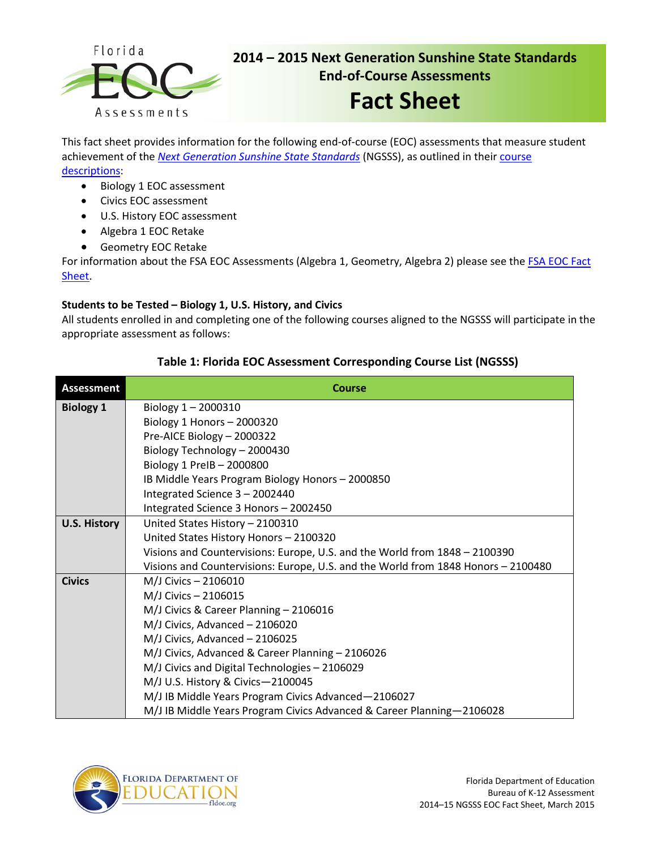

# **2014 – 2015 Next Generation Sunshine State Standards End-of-Course Assessments**

# **Fact Sheet**

This fact sheet provides information for the following end-of-course (EOC) assessments that measure student achievement of the *[Next Generation Sunshine State Standards](http://www.floridastandards.org/index.aspx)* (NGSSS), as outlined in their [course](http://www.cpalms.org/Public/search/Course#0)  [descriptions:](http://www.cpalms.org/Public/search/Course#0)

- Biology 1 EOC assessment
- Civics EOC assessment
- U.S. History EOC assessment
- Algebra 1 EOC Retake
- Geometry EOC Retake

For information about the FSA EOC Assessments (Algebra 1, Geometry, Algebra 2) please see the FSA EOC Fact [Sheet](http://www.fldoe.org/core/fileparse.php/5423/urlt/FSAEOCFS2014-15.pdf).

## **Students to be Tested – Biology 1, U.S. History, and Civics**

All students enrolled in and completing one of the following courses aligned to the NGSSS will participate in the appropriate assessment as follows:

| <b>Assessment</b>   | <b>Course</b>                                                                     |  |  |  |  |  |
|---------------------|-----------------------------------------------------------------------------------|--|--|--|--|--|
| <b>Biology 1</b>    | Biology $1 - 2000310$                                                             |  |  |  |  |  |
|                     | Biology 1 Honors $-2000320$                                                       |  |  |  |  |  |
|                     | Pre-AICE Biology - 2000322                                                        |  |  |  |  |  |
|                     | Biology Technology - 2000430                                                      |  |  |  |  |  |
|                     | Biology 1 PreIB - 2000800                                                         |  |  |  |  |  |
|                     | IB Middle Years Program Biology Honors - 2000850                                  |  |  |  |  |  |
|                     | Integrated Science 3 - 2002440                                                    |  |  |  |  |  |
|                     | Integrated Science 3 Honors - 2002450                                             |  |  |  |  |  |
| <b>U.S. History</b> | United States History - 2100310                                                   |  |  |  |  |  |
|                     | United States History Honors - 2100320                                            |  |  |  |  |  |
|                     | Visions and Countervisions: Europe, U.S. and the World from 1848 - 2100390        |  |  |  |  |  |
|                     | Visions and Countervisions: Europe, U.S. and the World from 1848 Honors - 2100480 |  |  |  |  |  |
| <b>Civics</b>       | M/J Civics - 2106010                                                              |  |  |  |  |  |
|                     | M/J Civics - 2106015                                                              |  |  |  |  |  |
|                     | M/J Civics & Career Planning - 2106016                                            |  |  |  |  |  |
|                     | M/J Civics, Advanced - 2106020                                                    |  |  |  |  |  |
|                     | M/J Civics, Advanced - 2106025                                                    |  |  |  |  |  |
|                     | M/J Civics, Advanced & Career Planning - 2106026                                  |  |  |  |  |  |
|                     | M/J Civics and Digital Technologies - 2106029                                     |  |  |  |  |  |
|                     | M/J U.S. History & Civics-2100045                                                 |  |  |  |  |  |
|                     | M/J IB Middle Years Program Civics Advanced-2106027                               |  |  |  |  |  |
|                     | M/J IB Middle Years Program Civics Advanced & Career Planning-2106028             |  |  |  |  |  |

## **Table 1: Florida EOC Assessment Corresponding Course List (NGSSS)**

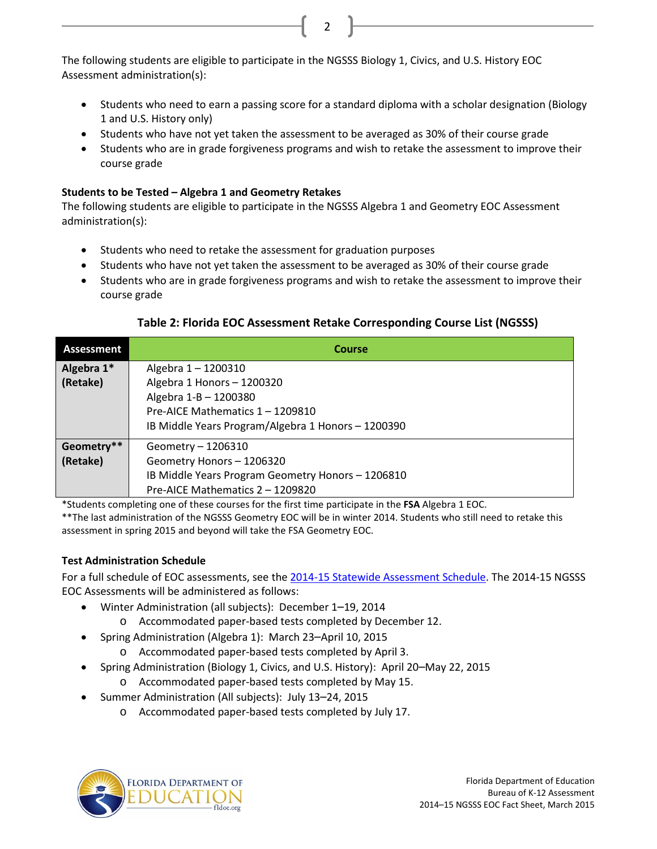The following students are eligible to participate in the NGSSS Biology 1, Civics, and U.S. History EOC Assessment administration(s):

• Students who need to earn a passing score for a standard diploma with a scholar designation (Biology 1 and U.S. History only)

2

- Students who have not yet taken the assessment to be averaged as 30% of their course grade
- Students who are in grade forgiveness programs and wish to retake the assessment to improve their course grade

## **Students to be Tested – Algebra 1 and Geometry Retakes**

The following students are eligible to participate in the NGSSS Algebra 1 and Geometry EOC Assessment administration(s):

- Students who need to retake the assessment for graduation purposes
- Students who have not yet taken the assessment to be averaged as 30% of their course grade
- Students who are in grade forgiveness programs and wish to retake the assessment to improve their course grade

| <b>Assessment</b>      | Course                                                                                 |
|------------------------|----------------------------------------------------------------------------------------|
| Algebra 1*<br>(Retake) | Algebra 1-1200310<br>Algebra 1 Honors - 1200320<br>Algebra 1-B - 1200380               |
|                        | Pre-AICE Mathematics 1 - 1209810<br>IB Middle Years Program/Algebra 1 Honors - 1200390 |
| Geometry**             | Geometry - 1206310                                                                     |
| (Retake)               | Geometry Honors - 1206320                                                              |
|                        | IB Middle Years Program Geometry Honors - 1206810                                      |
|                        | Pre-AICE Mathematics 2 - 1209820                                                       |

### **Table 2: Florida EOC Assessment Retake Corresponding Course List (NGSSS)**

\*Students completing one of these courses for the first time participate in the **FSA** Algebra 1 EOC.

\*\*The last administration of the NGSSS Geometry EOC will be in winter 2014. Students who still need to retake this assessment in spring 2015 and beyond will take the FSA Geometry EOC.

# **Test Administration Schedule**

For a full schedule of EOC assessments, see the 2014-15 Statewide [Assessment Schedule.](http://info.fldoe.org/docushare/dsweb/Get/Document-7047/dps-2014-81a.pdf) The 2014-15 NGSSS EOC Assessments will be administered as follows:

- Winter Administration (all subjects): December 1–19, 2014
	- o Accommodated paper-based tests completed by December 12.
- Spring Administration (Algebra 1): March 23–April 10, 2015
	- o Accommodated paper-based tests completed by April 3.
	- Spring Administration (Biology 1, Civics, and U.S. History): April 20–May 22, 2015
		- o Accommodated paper-based tests completed by May 15.
- Summer Administration (All subjects): July 13–24, 2015
	- o Accommodated paper-based tests completed by July 17.

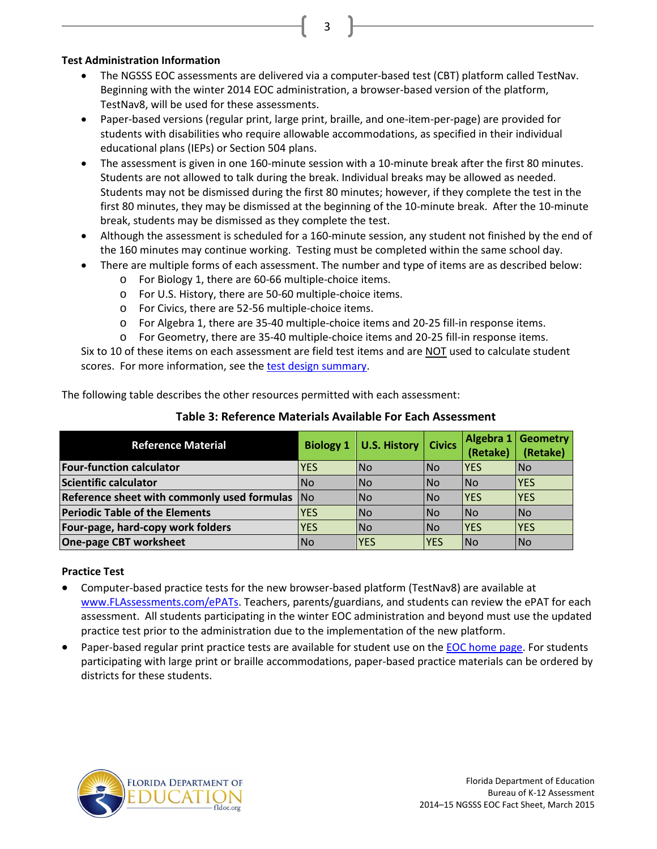#### **Test Administration Information**

• The NGSSS EOC assessments are delivered via a computer-based test (CBT) platform called TestNav. Beginning with the winter 2014 EOC administration, a browser-based version of the platform, TestNav8, will be used for these assessments.

3

- Paper-based versions (regular print, large print, braille, and one-item-per-page) are provided for students with disabilities who require allowable accommodations, as specified in their individual educational plans (IEPs) or Section 504 plans.
- The assessment is given in one 160-minute session with a 10-minute break after the first 80 minutes. Students are not allowed to talk during the break. Individual breaks may be allowed as needed. Students may not be dismissed during the first 80 minutes; however, if they complete the test in the first 80 minutes, they may be dismissed at the beginning of the 10-minute break. After the 10-minute break, students may be dismissed as they complete the test.
- Although the assessment is scheduled for a 160-minute session, any student not finished by the end of the 160 minutes may continue working. Testing must be completed within the same school day.
- There are multiple forms of each assessment. The number and type of items are as described below:
	- o For Biology 1, there are 60-66 multiple-choice items.
	- o For U.S. History, there are 50-60 multiple-choice items.
	- o For Civics, there are 52-56 multiple-choice items.
	- o For Algebra 1, there are 35-40 multiple-choice items and 20-25 fill-in response items.
	- o For Geometry, there are 35-40 multiple-choice items and 20-25 fill-in response items.

Six to 10 of these items on each assessment are field test items and are NOT used to calculate student scores. For more information, see the [test design summary.](http://www.fldoe.org/core/fileparse.php/3/urlt/designsummary.pdf)

The following table describes the other resources permitted with each assessment:

| <b>Reference Material</b>                   |                | Biology 1   U.S. History   Civics |             | Algebra 1<br>(Retake) | <b>Geometry</b><br>(Retake) |
|---------------------------------------------|----------------|-----------------------------------|-------------|-----------------------|-----------------------------|
| <b>Four-function calculator</b>             | <b>YES</b>     | <b>INo</b>                        | <b>INo</b>  | IYES                  | <b>No</b>                   |
| Scientific calculator                       | N <sub>o</sub> | <b>INo</b>                        | <b>INo</b>  | <b>INo</b>            | <b>YES</b>                  |
| Reference sheet with commonly used formulas | <b>INO</b>     | <b>No</b>                         | <b>INo</b>  | <b>IYES</b>           | <b>YES</b>                  |
| <b>Periodic Table of the Elements</b>       | <b>YES</b>     | <b>No</b>                         | <b>INo</b>  | <b>INo</b>            | <b>No</b>                   |
| Four-page, hard-copy work folders           | <b>YES</b>     | <b>No</b>                         | <b>INo</b>  | <b>IYES</b>           | <b>YES</b>                  |
| <b>One-page CBT worksheet</b>               | <b>No</b>      | <b>IYES</b>                       | <b>IYES</b> | <b>INO</b>            | <b>No</b>                   |

## **Table 3: Reference Materials Available For Each Assessment**

#### **Practice Test**

- Computer-based practice tests for the new browser-based platform (TestNav8) are available at [www.FLAssessments.com/ePATs.](http://www.flassessments.com/ePATs) Teachers, parents/guardians, and students can review the ePAT for each assessment. All students participating in the winter EOC administration and beyond must use the updated practice test prior to the administration due to the implementation of the new platform.
- Paper-based regular print practice tests are available for student use on the [EOC home page.](http://www.fldoe.org/accountability/assessments/k-12-student-assessment/end-of-course-eoc-assessments) For students participating with large print or braille accommodations, paper-based practice materials can be ordered by districts for these students.